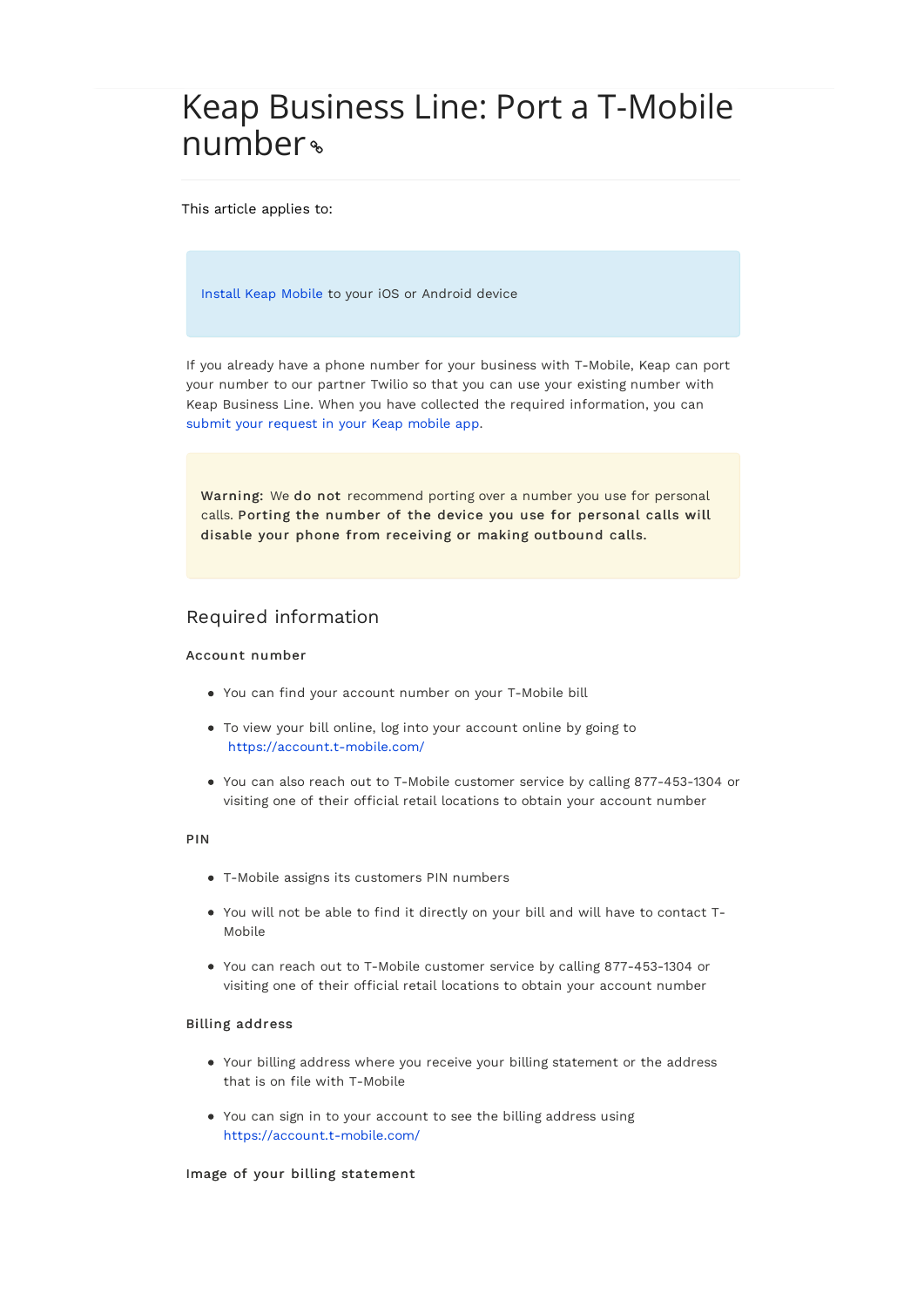# Keap Business Line: Port a T-Mobile number

# This article applies to:

Install Keap Mobile to your iOS or Android device

If you already have a phone number for your business with T-Mobile, Keap can port your number to our partner Twilio so that you can use your existing number with Keap Business Line. When you have collected the required information, you can submit your request in your Keap mobile app.

Warning: We do not recommend porting over a number you use for personal calls. Porting the number of the device you use for personal calls will disable your phone from receiving or making outbound calls.

# Required information

# Account number

- You can find your account number on your T-Mobile bill
- To view your bill online, log into your account online by going to https://account.t-mobile.com/
- You can also reach out to T-Mobile customer service by calling 877-453-1304 or visiting one of their official retail locations to obtain your account number

## PIN

- T-Mobile assigns its customers PIN numbers
- You will not be able to find it directly on your bill and will have to contact T-Mobile
- You can reach out to T-Mobile customer service by calling 877-453-1304 or visiting one of their official retail locations to obtain your account number

# Billing address

- Your billing address where you receive your billing statement or the address that is on file with T-Mobile
- You can sign in to your account to see the billing address using https://account.t-mobile.com/

#### Image of your billing statement